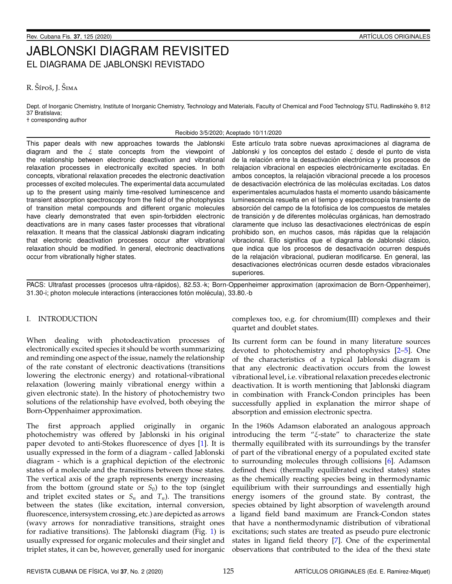# JABLONSKI DIAGRAM REVISITED EL DIAGRAMA DE JABLONSKI REVISTADO

# R. Šípoš, J. Šima

Dept. of Inorganic Chemistry, Institute of Inorganic Chemistry, Technology and Materials, Faculty of Chemical and Food Technology STU, Radlinského 9, 812 37 Bratislava; † corresponding author

## Recibido 3/5/2020; Aceptado 10/11/2020

This paper deals with new approaches towards the Jablonski diagram and the  $\xi$  state concepts from the viewpoint of the relationship between electronic deactivation and vibrational relaxation processes in electronically excited species. In both concepts, vibrational relaxation precedes the electronic deactivation processes of excited molecules. The experimental data accumulated up to the present using mainly time-resolved luminescence and transient absorption spectroscopy from the field of the photophysics of transition metal compounds and different organic molecules have clearly demonstrated that even spin-forbidden electronic deactivations are in many cases faster processes that vibrational relaxation. It means that the classical Jablonski diagram indicating that electronic deactivation processes occur after vibrational relaxation should be modified. In general, electronic deactivations occur from vibrationally higher states.

Este artículo trata sobre nuevas aproximaciones al diagrama de Jablonski y los conceptos del estado  $\xi$  desde el punto de vista de la relación entre la desactivación electrónica y los procesos de relajacion vibracional en especies electrónicamente excitadas. En ambos conceptos, la relajación vibracional precede a los procesos de desactivación electrónica de las moléculas excitadas. Los datos experimentales acumulados hasta el momento usando básicamente luminescencia resuelta en el tiempo y espectroscopía transiente de absorción del campo de la fotofísica de los compuestos de metales de transición y de diferentes moléculas orgánicas, han demostrado claramente que incluso las desactivaciones electrónicas de espín prohibido son, en muchos casos, más rápidas que la relajación vibracional. Ello significa que el diagrama de Jablonski clásico, que indica que los procesos de desactivación ocurren después de la relajación vibracional, pudieran modificarse. En general, las desactivaciones electrónicas ocurren desde estados vibracionales superiores.

PACS: Ultrafast processes (procesos ultra-rápidos), 82.53.-k; Born-Oppenheimer approximation (aproximacion de Born-Oppenheimer), 31.30-i; photon molecule interactions (interacciones fotón molécula), 33.80.-b

# I. INTRODUCTION

When dealing with photodeactivation processes of electronically excited species it should be worth summarizing and reminding one aspect of the issue, namely the relationship of the rate constant of electronic deactivations (transitions lowering the electronic energy) and rotational-vibrational relaxation (lowering mainly vibrational energy within a given electronic state). In the history of photochemistry two solutions of the relationship have evolved, both obeying the Born-Oppenhaimer approximation.

The first approach applied originally in organic photochemistry was offered by Jablonski in his original paper devoted to anti-Stokes fluorescence of dyes [\[1\]](#page-4-0). It is usually expressed in the form of a diagram - called Jablonski diagram - which is a graphical depiction of the electronic states of a molecule and the transitions between those states. The vertical axis of the graph represents energy increasing from the bottom (ground state or  $S_0$ ) to the top (singlet and triplet excited states or  $S_n$  and  $T_n$ ). The transitions between the states (like excitation, internal conversion, fluorescence, intersystem crossing, etc.) are depicted as arrows (wavy arrows for nonradiative transitions, straight ones for radiative transitions). The Jablonski diagram (Fig. [1\)](#page-1-0) is usually expressed for organic molecules and their singlet and triplet states, it can be, however, generally used for inorganic

complexes too, e.g. for chromium(III) complexes and their quartet and doublet states.

Its current form can be found in many literature sources devoted to photochemistry and photophysics [\[2–](#page-4-1)[5\]](#page-4-2). One of the characteristics of a typical Jablonski diagram is that any electronic deactivation occurs from the lowest vibrational level, i.e. vibrational relaxation precedes electronic deactivation. It is worth mentioning that Jablonski diagram in combination with Franck-Condon principles has been successfully applied in explanation the mirror shape of absorption and emission electronic spectra.

In the 1960s Adamson elaborated an analogous approach introducing the term "ξ-state" to characterize the state thermally equilibrated with its surroundings by the transfer of part of the vibrational energy of a populated excited state to surrounding molecules through collisions [\[6\]](#page-4-3). Adamson defined thexi (thermally equilibrated excited states) states as the chemically reacting species being in thermodynamic equilibrium with their surroundings and essentially high energy isomers of the ground state. By contrast, the species obtained by light absorption of wavelength around a ligand field band maximum are Franck-Condon states that have a nonthermodynamic distribution of vibrational excitations; such states are treated as pseudo pure electronic states in ligand field theory [\[7\]](#page-4-4). One of the experimental observations that contributed to the idea of the thexi state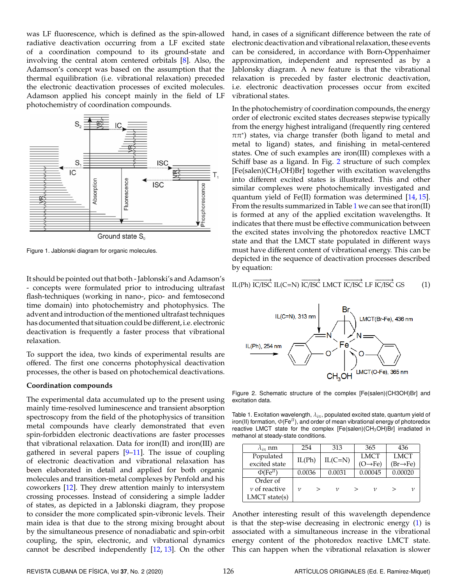was LF fluorescence, which is defined as the spin-allowed radiative deactivation occurring from a LF excited state of a coordination compound to its ground-state and involving the central atom centered orbitals [\[8\]](#page-4-5). Also, the Adamson's concept was based on the assumption that the thermal equilibration (i.e. vibrational relaxation) preceded the electronic deactivation processes of excited molecules. Adamson applied his concept mainly in the field of LF photochemistry of coordination compounds.

<span id="page-1-0"></span>

Figure 1. Jablonski diagram for organic molecules.

It should be pointed out that both - Jablonski's and Adamson's - concepts were formulated prior to introducing ultrafast flash-techniques (working in nano-, pico- and femtosecond time domain) into photochemistry and photophysics. The advent and introduction of the mentioned ultrafast techniques has documented that situation could be different, i.e. electronic deactivation is frequently a faster process that vibrational relaxation.

To support the idea, two kinds of experimental results are offered. The first one concerns photophysical deactivation processes, the other is based on photochemical deactivations.

## **Coordination compounds**

The experimental data accumulated up to the present using mainly time-resolved luminescence and transient absorption spectroscopy from the field of the photophysics of transition metal compounds have clearly demonstrated that even spin-forbidden electronic deactivations are faster processes that vibrational relaxation. Data for iron(II) and iron(III) are gathered in several papers [\[9](#page-4-6)[–11\]](#page-4-7). The issue of coupling of electronic deactivation and vibrational relaxation has been elaborated in detail and applied for both organic molecules and transition-metal complexes by Penfold and his coworkers [\[12\]](#page-4-8). They drew attention mainly to intersystem crossing processes. Instead of considering a simple ladder of states, as depicted in a Jablonski diagram, they propose to consider the more complicated spin-vibronic levels. Their main idea is that due to the strong mixing brought about by the simultaneous presence of nonadiabatic and spin-orbit coupling, the spin, electronic, and vibrational dynamics cannot be described independently [\[12,](#page-4-8) [13\]](#page-4-9). On the other hand, in cases of a significant difference between the rate of electronic deactivation and vibrational relaxation, these events can be considered, in accordance with Born-Oppenhaimer approximation, independent and represented as by a Jablonsky diagram. A new feature is that the vibrational relaxation is preceded by faster electronic deactivation, i.e. electronic deactivation processes occur from excited vibrational states.

In the photochemistry of coordination compounds, the energy order of electronic excited states decreases stepwise typically from the energy highest intraligand (frequently ring centered  $\pi\pi$ \*) states, via charge transfer (both ligand to metal and metal to ligand) states, and finishing in metal-centered states. One of such examples are iron(III) complexes with a Schiff base as a ligand. In Fig. [2](#page-1-1) structure of such complex  $[Fe(salen)(CH<sub>3</sub>OH)Br]$  together with excitation wavelengths into different excited states is illustrated. This and other similar complexes were photochemically investigated and quantum yield of Fe(II) formation was determined [\[14,](#page-4-10) [15\]](#page-4-11). From the results summarized in Table [1](#page-1-2) we can see that iron(II) is formed at any of the applied excitation wavelengths. It indicates that there must be effective communication between the excited states involving the photoredox reactive LMCT state and that the LMCT state populated in different ways must have different content of vibrational energy. This can be depicted in the sequence of deactivation processes described by equation:

<span id="page-1-3"></span>IL(Ph) 
$$
\overrightarrow{IC/ISC}
$$
 IL(C=N)  $\overrightarrow{IC/ISC}$  LMCT  $\overrightarrow{IC/ISC}$  LF  $\overrightarrow{IC/ISC}$  GS (1)

<span id="page-1-1"></span>

Figure 2. Schematic structure of the complex [Fe(salen)(CH3OH)Br] and excitation data.

<span id="page-1-2"></span>Table 1. Excitation wavelength, λ*i*π, populated excited state, quantum yield of iron(II) formation, Φ(Fe*II*), and order of mean vibrational energy of photoredox reactive LMCT state for the complex  $[Fe(salen)(CH<sub>3</sub>OH)Br]$  irradiated in methanol at steady-state conditions.

| $\lambda_{i\pi}$ nm        | 254    | 313        | 365                  | 436                   |
|----------------------------|--------|------------|----------------------|-----------------------|
| Populated                  |        |            | <b>LMCT</b>          | <b>LMCT</b>           |
| excited state              | IL(Ph) | $IL(C=N)$  | (O $\rightarrow$ Fe) | $(Br \rightarrow Fe)$ |
| $\Phi$ (Fe <sup>II</sup> ) | 0.0036 | 0.0031     | 0.00045              | 0.00020               |
| Order of                   |        |            |                      |                       |
| $\nu$ of reactive          | ν      | $\upsilon$ | ν                    | ν                     |
| LMCT state(s)              |        |            |                      |                       |

Another interesting result of this wavelength dependence is that the step-wise decreasing in electronic energy [\(1\)](#page-1-3) is associated with a simultaneous increase in the vibrational energy content of the photoredox reactive LMCT state. This can happen when the vibrational relaxation is slower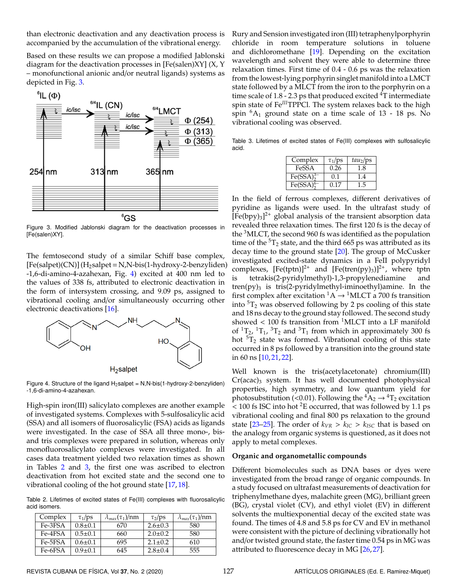than electronic deactivation and any deactivation process is accompanied by the accumulation of the vibrational energy.

Based on these results we can propose a modified Jablonski diagram for the deactivation processes in [Fe(salen)XY] (X, Y – monofunctional anionic and/or neutral ligands) systems as depicted in Fig. [3.](#page-2-0)

<span id="page-2-0"></span>

Figure 3. Modified Jablonski diagram for the deactivation processes in [Fe(salen)XY].

The femtosecond study of a similar Schiff base complex,  $[Fe(salpet)(CN)] (H<sub>2</sub>salpet=N,N-bis(1-hydroxy-2-benzyliden)$ -1,6-di-amino-4-azahexan, Fig. [4\)](#page-2-1) excited at 400 nm led to the values of 338 fs, attributed to electronic deactivation in the form of intersystem crossing, and 9.09 ps, assigned to vibrational cooling and/or simultaneously occurring other electronic deactivations [\[16\]](#page-4-12).

<span id="page-2-1"></span>

Figure 4. Structure of the ligand  $H_2$ salpet = N,N-bis(1-hydroxy-2-benzyliden) -1,6-di-amino-4-azahexan.

High-spin iron(III) salicylato complexes are another example of investigated systems. Complexes with 5-sulfosalicylic acid (SSA) and all isomers of fluorosalicylic (FSA) acids as ligands were investigated. In the case of SSA all three mono-, bisand tris complexes were prepared in solution, whereas only monofluorosalicylato complexes were investigated. In all cases data treatment yielded two relaxation times as shown in Tables [2](#page-2-2) and [3,](#page-2-3) the first one was ascribed to electron deactivation from hot excited state and the second one to vibrational cooling of the hot ground state [\[17,](#page-4-13) [18\]](#page-4-14).

<span id="page-2-2"></span>Table 2. Lifetimes of excited states of Fe(III) complexes with fluorosalicylic acid isomers.

| Complex | $\tau_1$ /ps  | $\lambda_{max}(\tau_1)/nm$ | $\tau_2$ /ps  | $\lambda_{max}(\tau_1)/nm$ |
|---------|---------------|----------------------------|---------------|----------------------------|
| Fe-3FSA | $0.8 \pm 0.1$ | 670                        | $2.6 \pm 0.3$ | 580                        |
| Fe-4FSA | $0.5 + 0.1$   | 660                        | $2.0 \pm 0.2$ | 580                        |
| Fe-5FSA | $0.6 \pm 0.1$ | 695                        | $2.1 \pm 0.2$ | 610                        |
| Fe-6FSA | $0.9 \pm 0.1$ | 645                        | $2.8 \pm 0.4$ | 555                        |

Rury and Sension investigated iron (III) tetraphenylporphyrin chloride in room temperature solutions in toluene and dichloromethane [\[19\]](#page-4-15). Depending on the excitation wavelength and solvent they were able to determine three relaxation times. First time of 0.4 - 0.6 ps was the relaxation from the lowest-lying porphyrin singlet manifold into a LMCT state followed by a MLCT from the iron to the porphyrin on a time scale of  $1.8$  - 2.3 ps that produced excited  $\rm{^{4}T}$  intermediate spin state of Fe<sup>III</sup>TPPCl. The system relaxes back to the high spin  ${}^6A_1$  ground state on a time scale of 13 - 18 ps. No vibrational cooling was observed.

<span id="page-2-3"></span>Table 3. Lifetimes of excited states of Fe(III) complexes with sulfosalicylic acid.

| Complex                           | $\tau_1$ /ps | $tau_2$ /ps |
|-----------------------------------|--------------|-------------|
| FeSSA                             | 0.26         | 1.8         |
| Fe(SSA) <sub>2</sub> <sup>3</sup> | 0.1          | 1.4         |
| Fe(SSA) <sub>2</sub>              | 0.17         | 15          |

In the field of ferrous complexes, different derivatives of pyridine as ligands were used. In the ultrafast study of  $[Fe(bpy)<sub>3</sub>]<sup>2+</sup>$  global analysis of the transient absorption data revealed three relaxation times. The first 120 fs is the decay of the  $3$ MLCT, the second 960 fs was identified as the population time of the  ${}^{5}T_2$  state, and the third 665 ps was attributed as its decay time to the ground state [\[20\]](#page-4-16). The group of McCusker investigated excited-state dynamics in a FeII polypyridyl complexes,  $[Fe(tptn)]^{2+}$  and  $[Fe(tren(py)_3)]^{2+}$ , where tptn is tetrakis(2-pyridylmethyl)-1,3-propylenediamine and  $tren(py)_3$  is tris(2-pyridylmethyl-iminoethyl)amine. In the first complex after excitation  ${}^1A \rightarrow {}^1MLCT$  a 700 fs transition into  ${}^{5}T_{2}$  was observed following by 2 ps cooling of this state and 18 ns decay to the ground stay followed. The second study showed  $< 100$  fs transition from <sup>1</sup>MLCT into a LF manifold of  ${}^{1}T_{2}$ ,  ${}^{1}T_{1}$ ,  ${}^{3}T_{2}$  and  ${}^{3}T_{1}$  from which in approximately 300 fs hot  ${}^{5}T_{2}$  state was formed. Vibrational cooling of this state occurred in 8 ps followed by a transition into the ground state in 60 ns [\[10,](#page-4-17) [21,](#page-4-18) [22\]](#page-4-19).

Well known is the tris(acetylacetonate) chromium(III)  $Cr(\text{aca})_3$  system. It has well documented photophysical properties, high symmetry, and low quantum yield for photosubstitution (<0.01). Following the  ${}^4A_2 \rightarrow {}^4T_2$  excitation  $<$  100 fs ISC into hot <sup>2</sup>E occurred, that was followed by 1.1 ps vibrational cooling and final 800 ps relaxation to the ground state [\[23–](#page-4-20)[25\]](#page-4-21). The order of  $k_{VR} > k_{IC} > k_{ISC}$  that is based on the analogy from organic systems is questioned, as it does not apply to metal complexes.

#### **Organic and organometallic compounds**

Different biomolecules such as DNA bases or dyes were investigated from the broad range of organic compounds. In a study focused on ultrafast measurements of deactivation for triphenylmethane dyes, malachite green (MG), brilliant green (BG), crystal violet (CV), and ethyl violet (EV) in different solvents the multiexponential decay of the excited state was found. The times of 4.8 and 5.8 ps for CV and EV in methanol were consistent with the picture of declining vibrationally hot and/or twisted ground state, the faster time 0.54 ps in MG was attributed to fluorescence decay in MG [\[26,](#page-4-22) [27\]](#page-4-23).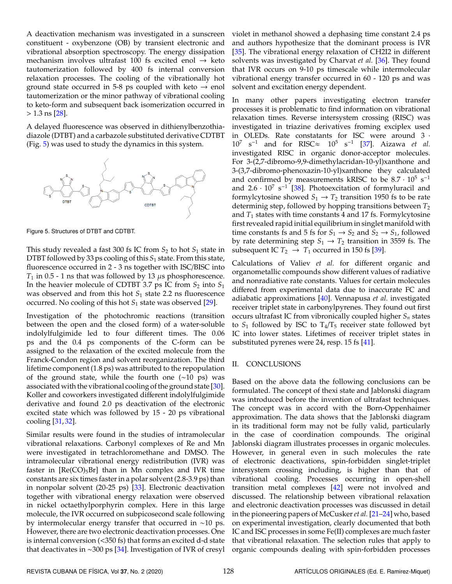A deactivation mechanism was investigated in a sunscreen constituent - oxybenzone (OB) by transient electronic and vibrational absorption spectroscopy. The energy dissipation mechanism involves ultrafast 100 fs excited enol  $\rightarrow$  keto tautomerization followed by 400 fs internal conversion relaxation processes. The cooling of the vibrationally hot ground state occurred in 5-8 ps coupled with keto  $\rightarrow$  enol tautomerization or the minor pathway of vibrational cooling to keto-form and subsequent back isomerization occurred in  $> 1.3$  ns [\[28\]](#page-4-24).

A delayed fluorescence was observed in dithienylbenzothiadiazole (DTBT) and a carbazole substituted derivative CDTBT (Fig. [5\)](#page-3-0) was used to study the dynamics in this system.

<span id="page-3-0"></span>

Figure 5. Structures of DTBT and CDTBT.

This study revealed a fast 300 fs IC from *S*<sup>2</sup> to hot *S*<sup>1</sup> state in DTBT followed by 33 ps cooling of this *S*<sup>1</sup> state. From this state, fluorescence occurred in 2 - 3 ns together with ISC/BISC into  $T_1$  in 0.5 - 1 ns that was followed by 13  $\mu$ s phosphorescence. In the heavier molecule of CDTBT 3.7 ps IC from  $S_2$  into  $S_1$ was observed and from this hot *S*<sub>1</sub> state 2.2 ns fluorescence occurred. No cooling of this hot *S*<sup>1</sup> state was observed [\[29\]](#page-4-25).

Investigation of the photochromic reactions (transition between the open and the closed form) of a water-soluble indolylfulgimide led to four different times. The 0.06 ps and the 0.4 ps components of the C-form can be assigned to the relaxation of the excited molecule from the Franck-Condon region and solvent reorganization. The third lifetime component (1.8 ps) was attributed to the repopulation of the ground state, while the fourth one (∼10 ps) was associated with the vibrational cooling of the ground state [\[30\]](#page-4-26). Koller and coworkers investigated different indolylfulgimide derivative and found 2.0 ps deactivation of the electronic excited state which was followed by 15 - 20 ps vibrational cooling [\[31,](#page-4-27) [32\]](#page-4-28).

Similar results were found in the studies of intramolecular vibrational relaxations. Carbonyl complexes of Re and Mn were investigated in tetrachloromethane and DMSO. The intramolecular vibrational energy redistribution (IVR) was faster in  $[Re(CO)_5Br]$  than in Mn complex and IVR time constants are six times faster in a polar solvent (2.8-3.9 ps) than in nonpolar solvent (20-25 ps) [\[33\]](#page-4-29). Electronic deactivation together with vibrational energy relaxation were observed in nickel octaethylporphyrin complex. Here in this large molecule, the IVR occurred on subpicosecond scale following by intermolecular energy transfer that occurred in ∼10 ps. However, there are two electronic deactivation processes. One is internal conversion (<350 fs) that forms an excited d-d state that deactivates in ∼300 ps [\[34\]](#page-4-30). Investigation of IVR of cresyl violet in methanol showed a dephasing time constant 2.4 ps and authors hypothesize that the dominant process is IVR [\[35\]](#page-4-31). The vibrational energy relaxation of CH2I2 in different solvents was investigated by Charvat *et al.* [\[36\]](#page-4-32). They found that IVR occurs on 9-10 ps timescale while intermolecular vibrational energy transfer occurred in 60 - 120 ps and was solvent and excitation energy dependent.

In many other papers investigating electron transfer processes it is problematic to find information on vibrational relaxation times. Reverse intersystem crossing (RISC) was investigated in triazine derivatives froming exciplex used in OLEDs. Rate constatants for ISC were around 3 · 10<sup>7</sup> s <sup>−</sup><sup>1</sup> and for RISC≈ 10<sup>5</sup> s −1 [\[37\]](#page-4-33). Aizawa *et al.* investigated RISC in organic donor-acceptor molecules. For 3-(2,7-dibromo-9,9-dimethylacridan-10-yl)xanthone and 3-(3,7-dibromo-phenoxazin-10-yl)xanthone they calculated and confirmed by measurements kRISC to be  $8.7 \cdot 10^5$  s<sup>-1</sup> and  $2.6 \cdot 10^7 \text{ s}^{-1}$  [\[38\]](#page-5-0). Photoexcitation of formyluracil and formylcytosine showed  $S_1 \rightarrow T_2$  transition 1950 fs to be rate determinig step, followed by hopping transitions between *T*<sup>2</sup> and  $T_1$  states with time constants 4 and 17 fs. Formylcytosine first revealed rapid initial equilibrium in singlet manifold with time constants fs and 5 fs for  $S_1 \rightarrow S_2$  and  $S_2 \rightarrow S_1$ , followed by rate determining step  $S_1 \rightarrow T_2$  transition in 3559 fs. The subsequent IC  $T_2 \rightarrow T_1$  occurred in 150 fs [\[39\]](#page-5-1).

Calculations of Valiev *et al.* for different organic and organometallic compounds show different values of radiative and nonradiative rate constants. Values for certain molecules differed from experimental data due to inaccurate FC and adiabatic approximations [\[40\]](#page-5-2). Vennapusa *et al.* investigated receiver triplet state in carbonylpyrenes. They found out first occurs ultrafast IC from vibronically coupled higher *S<sup>n</sup>* states to  $S_1$  followed by ISC to  $T_4/T_5$  receiver state followed byt IC into lower states. Lifetimes of receiver triplet states in substituted pyrenes were 24, resp. 15 fs [\[41\]](#page-5-3).

## II. CONCLUSIONS

Based on the above data the following conclusions can be formulated. The concept of thexi state and Jablonski diagram was introduced before the invention of ultrafast techniques. The concept was in accord with the Born-Oppenhaimer approximation. The data shows that the Jablonski diagram in its traditional form may not be fully valid, particularly in the case of coordination compounds. The original Jablonski diagram illustrates processes in organic molecules. However, in general even in such molecules the rate of electronic deactivations, spin-forbidden singlet-triplet intersystem crossing including, is higher than that of vibrational cooling. Processes occurring in open-shell transition metal complexes [\[42\]](#page-5-4) were not involved and discussed. The relationship between vibrational relaxation and electronic deactivation processes was discussed in detail in the pioneering papers of McCusker*et al.* [\[21–](#page-4-18)[24\]](#page-4-34) who, based on experimental investigation, clearly documented that both IC and ISC processes in some Fe(II) complexes are much faster that vibrational relaxation. The selection rules that apply to organic compounds dealing with spin-forbidden processes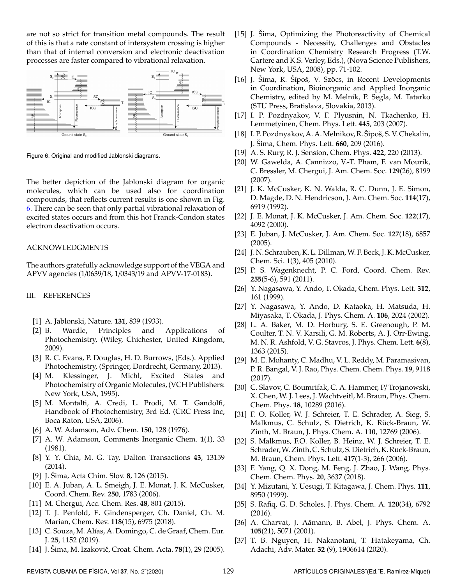are not so strict for transition metal compounds. The result of this is that a rate constant of intersystem crossing is higher than that of internal conversion and electronic deactivation processes are faster compared to vibrational relaxation.

<span id="page-4-35"></span>

Figure 6. Original and modified Jablonski diagrams.

The better depiction of the Jablonski diagram for organic molecules, which can be used also for coordination compounds, that reflects current results is one shown in Fig. [6.](#page-4-35) There can be seen that only partial vibrational relaxation of excited states occurs and from this hot Franck-Condon states electron deactivation occurs.

# ACKNOWLEDGMENTS

The authors gratefully acknowledge support of the VEGA and APVV agencies (1/0639/18, 1/0343/19 and APVV-17-0183).

## III. REFERENCES

- <span id="page-4-0"></span>[1] A. Jablonski, Nature. **131**, 839 (1933).
- <span id="page-4-1"></span>[2] B. Wardle, Principles and Applications of Photochemistry, (Wiley, Chichester, United Kingdom, 2009).
- [3] R. C. Evans, P. Douglas, H. D. Burrows, (Eds.). Applied Photochemistry, (Springer, Dordrecht, Germany, 2013).
- [4] M. Klessinger, J. Michl, Excited States and Photochemistry of Organic Molecules, (VCH Publishers: New York, USA, 1995).
- <span id="page-4-2"></span>[5] M. Montalti, A. Credi, L. Prodi, M. T. Gandolfi, Handbook of Photochemistry, 3rd Ed. (CRC Press Inc, Boca Raton, USA, 2006).
- <span id="page-4-3"></span>[6] A. W. Adamson, Adv. Chem. **150**, 128 (1976).
- <span id="page-4-4"></span>[7] A. W. Adamson, Comments Inorganic Chem. **1**(1), 33 (1981).
- <span id="page-4-5"></span>[8] Y. Y. Chia, M. G. Tay, Dalton Transactions **43**, 13159 (2014).
- <span id="page-4-6"></span>[9] J. Sima, Acta Chim. Slov. **8**, 126 (2015).
- <span id="page-4-17"></span>[10] E. A. Juban, A. L. Smeigh, J. E. Monat, J. K. McCusker, Coord. Chem. Rev. **250**, 1783 (2006).
- <span id="page-4-7"></span>[11] M. Chergui, Acc. Chem. Res. **48**, 801 (2015).
- <span id="page-4-8"></span>[12] T. J. Penfold, E. Gindensperger, Ch. Daniel, Ch. M. Marian, Chem. Rev. **118**(15), 6975 (2018).
- <span id="page-4-9"></span>[13] C. Souza, M. Alías, A. Domingo, C. de Graaf, Chem. Eur. J. **25**, 1152 (2019).
- <span id="page-4-10"></span>[14] J. Šima, M. Izakovič, Croat. Chem. Acta. **78**(1), 29 (2005).
- <span id="page-4-11"></span>[15] J. Sima, Optimizing the Photoreactivity of Chemical Compounds - Necessity, Challenges and Obstacles in Coordination Chemistry Research Progress (T.W. Cartere and K.S. Verley, Eds.), (Nova Science Publishers, New York, USA, 2008), pp. 71-102.
- <span id="page-4-12"></span>[16] J. Šima, R. Šípoš, V. Szöcs, in Recent Developments in Coordination, Bioinorganic and Applied Inorganic Chemistry, edited by M. Melník, P. Segla, M. Tatarko (STU Press, Bratislava, Slovakia, 2013).
- <span id="page-4-13"></span>[17] I. P. Pozdnyakov, V. F. Plyusnin, N. Tkachenko, H. Lemmetyinen, Chem. Phys. Lett. **445**, 203 (2007).
- <span id="page-4-14"></span>[18] I. P. Pozdnyakov, A. A. Melnikov, R. Šípoš, S. V. Chekalin, J. Sima, Chem. Phys. Lett. **660**, 209 (2016).
- <span id="page-4-15"></span>[19] A. S. Rury, R. J. Sension, Chem. Phys. **422**, 220 (2013).
- <span id="page-4-16"></span>[20] W. Gawelda, A. Cannizzo, V.-T. Pham, F. van Mourik, C. Bressler, M. Chergui, J. Am. Chem. Soc. **129**(26), 8199 (2007).
- <span id="page-4-18"></span>[21] J. K. McCusker, K. N. Walda, R. C. Dunn, J. E. Simon, D. Magde, D. N. Hendricson, J. Am. Chem. Soc. **114**(17), 6919 (1992).
- <span id="page-4-19"></span>[22] J. E. Monat, J. K. McCusker, J. Am. Chem. Soc. **122**(17), 4092 (2000).
- <span id="page-4-20"></span>[23] E. Juban, J. McCusker, J. Am. Chem. Soc. **127**(18), 6857 (2005).
- <span id="page-4-34"></span>[24] J. N. Schrauben, K. L. Dillman, W. F. Beck, J. K. McCusker, Chem. Sci. **1**(3), 405 (2010).
- <span id="page-4-21"></span>[25] P. S. Wagenknecht, P. C. Ford, Coord. Chem. Rev. **255**(5-6), 591 (2011).
- <span id="page-4-22"></span>[26] Y. Nagasawa, Y. Ando, T. Okada, Chem. Phys. Lett. **312**, 161 (1999).
- <span id="page-4-23"></span>[27] Y. Nagasawa, Y. Ando, D. Kataoka, H. Matsuda, H. Miyasaka, T. Okada, J. Phys. Chem. A. **106**, 2024 (2002).
- <span id="page-4-24"></span>[28] L. A. Baker, M. D. Horbury, S. E. Greenough, P. M. Coulter, T. N. V. Karsili, G. M. Roberts, A. J. Orr-Ewing, M. N. R. Ashfold, V. G. Stavros, J. Phys. Chem. Lett. **6**(8), 1363 (2015).
- <span id="page-4-25"></span>[29] M. E. Mohanty, C. Madhu, V. L. Reddy, M. Paramasivan, P. R. Bangal, V. J. Rao, Phys. Chem. Chem. Phys. **19**, 9118 (2017).
- <span id="page-4-26"></span>[30] C. Slavov, C. Boumrifak, C. A. Hammer, P/ Trojanowski, X. Chen, W. J. Lees, J. Wachtveitl, M. Braun, Phys. Chem. Chem. Phys. **18**, 10289 (2016).
- <span id="page-4-27"></span>[31] F. O. Koller, W. J. Schreier, T. E. Schrader, A. Sieg, S. Malkmus, C. Schulz, S. Dietrich, K. Rück-Braun, W. Zinth, M. Braun, J. Phys. Chem. A. **110**, 12769 (2006).
- <span id="page-4-28"></span>[32] S. Malkmus, F.O. Koller, B. Heinz, W. J. Schreier, T. E. Schrader, W. Zinth, C. Schulz, S. Dietrich, K. Rück-Braun, M. Braun, Chem. Phys. Lett. **417**(1-3), 266 (2006).
- <span id="page-4-29"></span>[33] F. Yang, Q. X. Dong, M. Feng, J. Zhao, J. Wang, Phys. Chem. Chem. Phys. **20**, 3637 (2018).
- <span id="page-4-30"></span>[34] Y. Mizutani, Y. Uesugi, T. Kitagawa, J. Chem. Phys. **111**, 8950 (1999).
- <span id="page-4-31"></span>[35] S. Rafiq, G. D. Scholes, J. Phys. Chem. A. **120**(34), 6792 (2016).
- <span id="page-4-32"></span>[36] A. Charvat, J. Aâmann, B. Abel, J. Phys. Chem. A. **105**(21), 5071 (2001).
- <span id="page-4-33"></span>[37] T. B. Nguyen, H. Nakanotani, T. Hatakeyama, Ch. Adachi, Adv. Mater. **32** (9), 1906614 (2020).